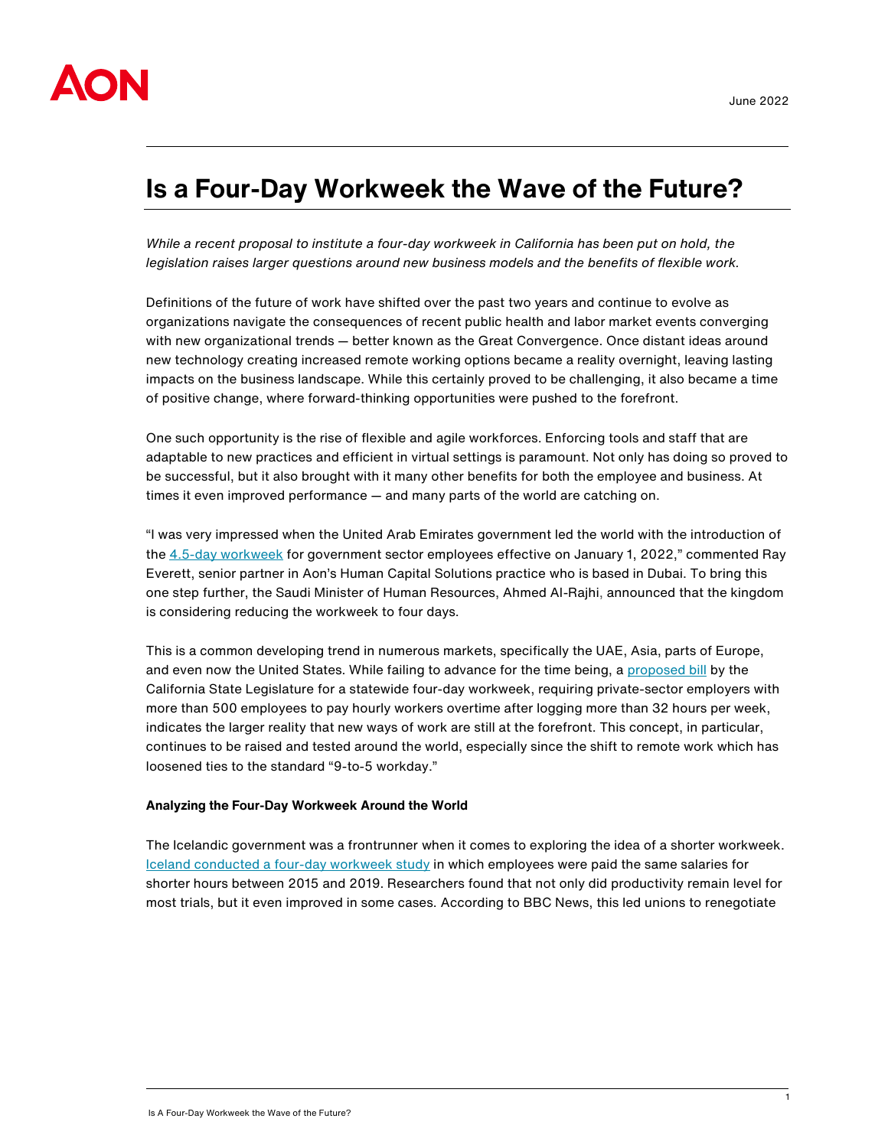

# **Is a Four-Day Workweek the Wave of the Future?**

*While a recent proposal to institute a four-day workweek in California has been put on hold, the legislation raises larger questions around new business models and the benefits of flexible work.*

Definitions of the future of work have shifted over the past two years and continue to evolve as organizations navigate the consequences of recent public health and labor market events converging with new organizational trends — better known as the Great Convergence. Once distant ideas around new technology creating increased remote working options became a reality overnight, leaving lasting impacts on the business landscape. While this certainly proved to be challenging, it also became a time of positive change, where forward-thinking opportunities were pushed to the forefront.

One such opportunity is the rise of flexible and agile workforces. Enforcing tools and staff that are adaptable to new practices and efficient in virtual settings is paramount. Not only has doing so proved to be successful, but it also brought with it many other benefits for both the employee and business. At times it even improved performance — and many parts of the world are catching on.

"I was very impressed when the United Arab Emirates government led the world with the introduction of the [4.5-day workweek](https://www.arabianbusiness.com/politics-economics/uae-government-workers-to-move-to-4-5-day-week-friday-afternoon-saturday-and-sunday-to-be-new-weekend) for government sector employees effective on January 1, 2022," commented Ray Everett, senior partner in Aon's Human Capital Solutions practice who is based in Dubai. To bring this one step further, the Saudi Minister of Human Resources, Ahmed Al-Rajhi, announced that the kingdom is considering reducing the workweek to four days.

This is a common developing trend in numerous markets, specifically the UAE, Asia, parts of Europe, and even now the United States. While failing to advance for the time being, [a proposed bill](https://www.wsj.com/articles/california-four-day-workweek-bill-is-shelved-for-now-11651528372#:~:text=The%20proposal%20would%20have%20required,with%20a%20four%2Dday%20workweek.) by the California State Legislature for a statewide four-day workweek, requiring private-sector employers with more than 500 employees to pay hourly workers overtime after logging more than 32 hours per week, indicates the larger reality that new ways of work are still at the forefront. This concept, in particular, continues to be raised and tested around the world, especially since the shift to remote work which has loosened ties to the standard "9-to-5 workday."

#### **Analyzing the Four-Day Workweek Around the World**

The Icelandic government was a frontrunner when it comes to exploring the idea of a shorter workweek. [Iceland conducted a four-day workweek study](https://www.bbc.com/news/business-57724779) in which employees were paid the same salaries for shorter hours between 2015 and 2019. Researchers found that not only did productivity remain level for most trials, but it even improved in some cases. According to BBC News, this led unions to renegotiate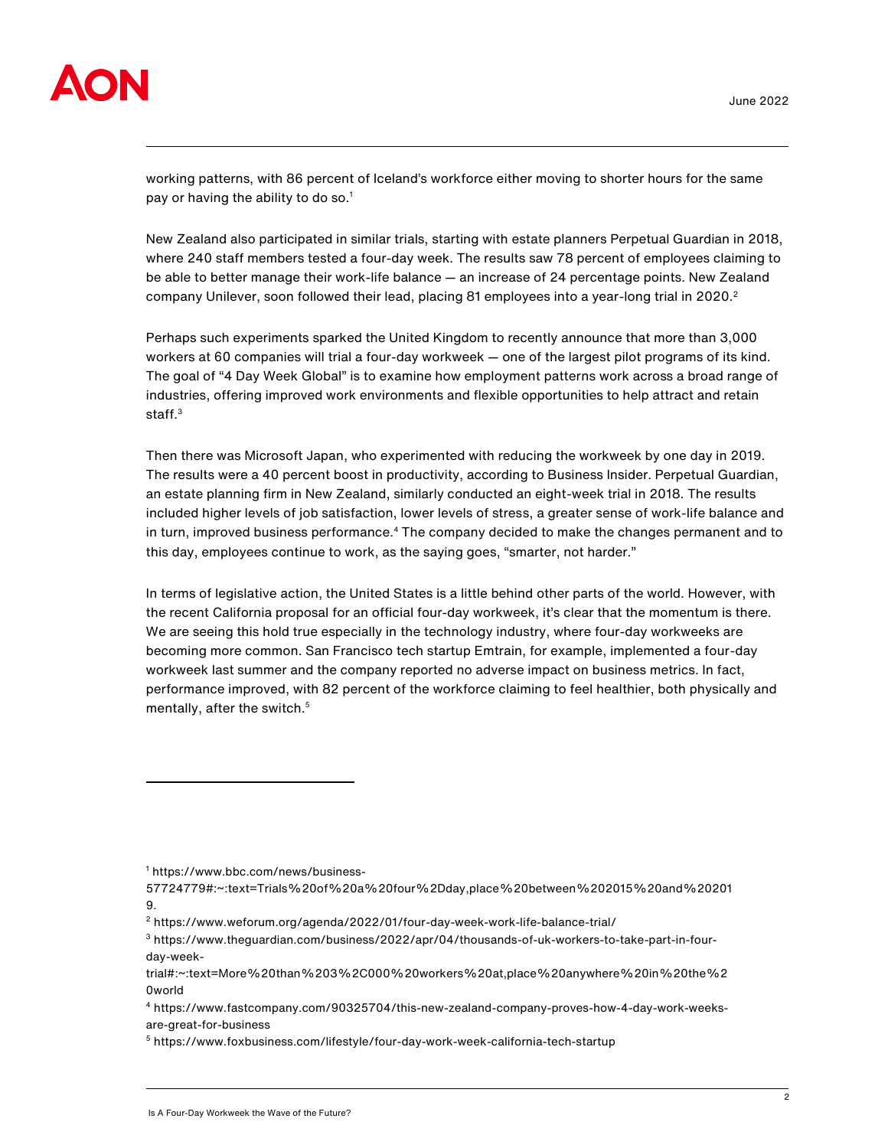

working patterns, with 86 percent of Iceland's workforce either moving to shorter hours for the same pay or having the ability to do so. $<sup>1</sup>$ </sup>

New Zealand also participated in similar trials, starting with estate planners Perpetual Guardian in 2018, where 240 staff members tested a four-day week. The results saw 78 percent of employees claiming to be able to better manage their work-life balance — an increase of 24 percentage points. New Zealand company Unilever, soon followed their lead, placing 81 employees into a year-long trial in 2020.<sup>2</sup>

Perhaps such experiments sparked the United Kingdom to recently announce that more than 3,000 workers at 60 companies will trial a four-day workweek — one of the largest pilot programs of its kind. The goal of "4 Day Week Global" is to examine how employment patterns work across a broad range of industries, offering improved work environments and flexible opportunities to help attract and retain staff.<sup>3</sup>

Then there was Microsoft Japan, who experimented with reducing the workweek by one day in 2019. The results were a 40 percent boost in productivity, according to Business Insider. Perpetual Guardian, an estate planning firm in New Zealand, similarly conducted an eight-week trial in 2018. The results included higher levels of job satisfaction, lower levels of stress, a greater sense of work-life balance and in turn, improved business performance.<sup>4</sup> The company decided to make the changes permanent and to this day, employees continue to work, as the saying goes, "smarter, not harder."

In terms of legislative action, the United States is a little behind other parts of the world. However, with the recent California proposal for an official four-day workweek, it's clear that the momentum is there. We are seeing this hold true especially in the technology industry, where four-day workweeks are becoming more common. San Francisco tech startup Emtrain, for example, implemented a four-day workweek last summer and the company reported no adverse impact on business metrics. In fact, performance improved, with 82 percent of the workforce claiming to feel healthier, both physically and mentally, after the switch.<sup>5</sup>

<sup>1</sup> https://www.bbc.com/news/business-

<sup>57724779#:~:</sup>text=Trials%20of%20a%20four%2Dday,place%20between%202015%20and%20201 9.

<sup>2</sup> <https://www.weforum.org/agenda/2022/01/four-day-week-work-life-balance-trial/>

<sup>3</sup> https://www.theguardian.com/business/2022/apr/04/thousands-of-uk-workers-to-take-part-in-fourday-week-

trial#:~:text=More%20than%203%2C000%20workers%20at,place%20anywhere%20in%20the%2 0world

<sup>4</sup> [https://www.fastcompany.com/90325704/this-new-zealand-company-proves-how-4-day-work-weeks](https://www.fastcompany.com/90325704/this-new-zealand-company-proves-how-4-day-work-weeks-are-great-for-business)[are-great-for-business](https://www.fastcompany.com/90325704/this-new-zealand-company-proves-how-4-day-work-weeks-are-great-for-business)

<sup>5</sup> <https://www.foxbusiness.com/lifestyle/four-day-work-week-california-tech-startup>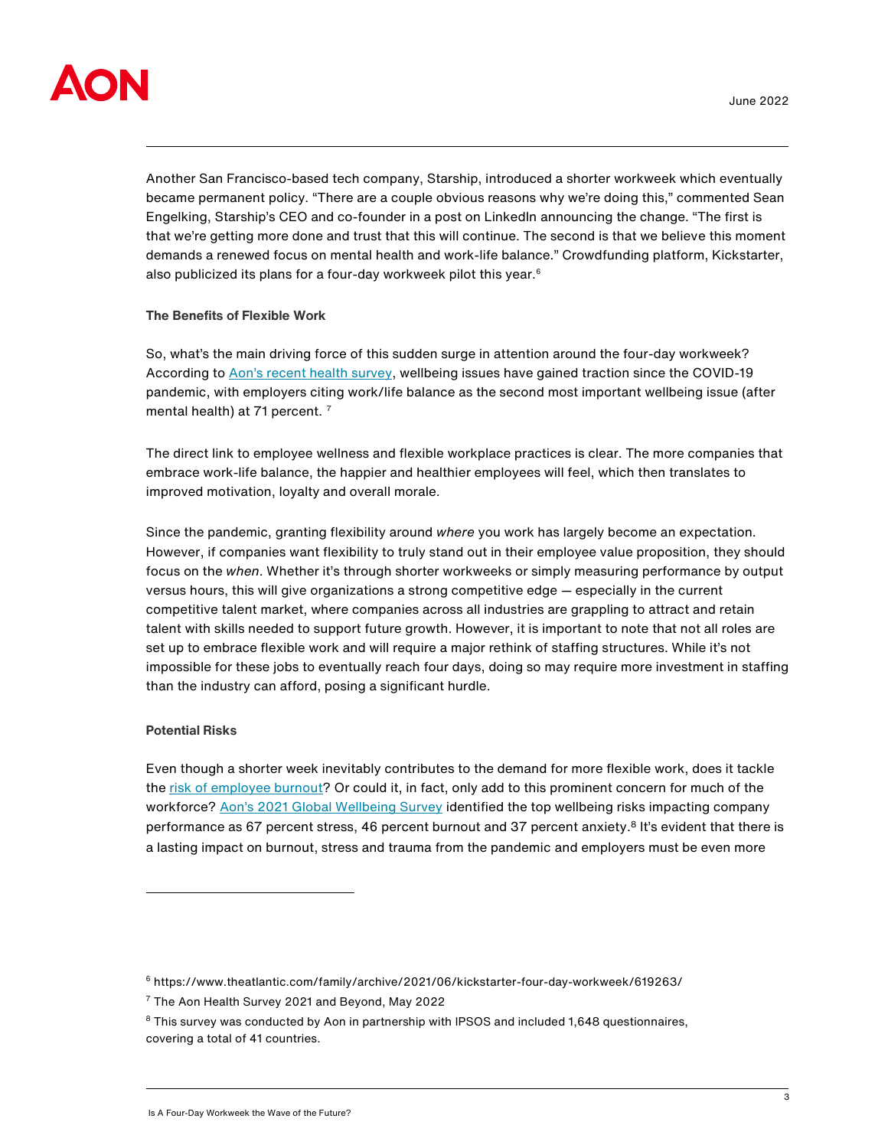

Another San Francisco-based tech company, Starship, introduced a shorter workweek which eventually became permanent policy. "There are a couple obvious reasons why we're doing this," commented Sean Engelking, Starship's CEO and co-founder in a post on LinkedIn announcing the change. "The first is that we're getting more done and trust that this will continue. The second is that we believe this moment demands a renewed focus on mental health and work-life balance." Crowdfunding platform, Kickstarter, also publicized its plans for a four-day workweek pilot this year.<sup>6</sup>

## **The Benefits of Flexible Work**

So, what's the main driving force of this sudden surge in attention around the four-day workweek? According to [Aon's recent health survey](https://www.aon.com/2021-health-survey-results), wellbeing issues have gained traction since the COVID-19 pandemic, with employers citing work/life balance as the second most important wellbeing issue (after mental health) at 71 percent.<sup>7</sup>

The direct link to employee wellness and flexible workplace practices is clear. The more companies that embrace work-life balance, the happier and healthier employees will feel, which then translates to improved motivation, loyalty and overall morale.

Since the pandemic, granting flexibility around *where* you work has largely become an expectation. However, if companies want flexibility to truly stand out in their employee value proposition, they should focus on the *when*. Whether it's through shorter workweeks or simply measuring performance by output versus hours, this will give organizations a strong competitive edge — especially in the current competitive talent market, where companies across all industries are grappling to attract and retain talent with skills needed to support future growth. However, it is important to note that not all roles are set up to embrace flexible work and will require a major rethink of staffing structures. While it's not impossible for these jobs to eventually reach four days, doing so may require more investment in staffing than the industry can afford, posing a significant hurdle.

#### **Potential Risks**

Even though a shorter week inevitably contributes to the demand for more flexible work, does it tackle the [risk of employee burnout?](https://www.aon.com/risingresilient/whitepaper/long-hours-and-burnout/#:~:text=In%20our%20paper%2C%20Long%20hours,the%20crucial%20role%20of%20managers) Or could it, in fact, only add to this prominent concern for much of the workforce? [Aon's 2021 Global Wellbeing Survey](https://www.aon.com/global-wellbeing-survey.aspx) identified the top wellbeing risks impacting company performance as 67 percent stress, 46 percent burnout and 37 percent anxiety.<sup>8</sup> It's evident that there is a lasting impact on burnout, stress and trauma from the pandemic and employers must be even more

<sup>6</sup> <https://www.theatlantic.com/family/archive/2021/06/kickstarter-four-day-workweek/619263/>

<sup>7</sup> The Aon Health Survey 2021 and Beyond, May 2022

<sup>&</sup>lt;sup>8</sup> This survey was conducted by Aon in partnership with IPSOS and included 1,648 questionnaires, covering a total of 41 countries.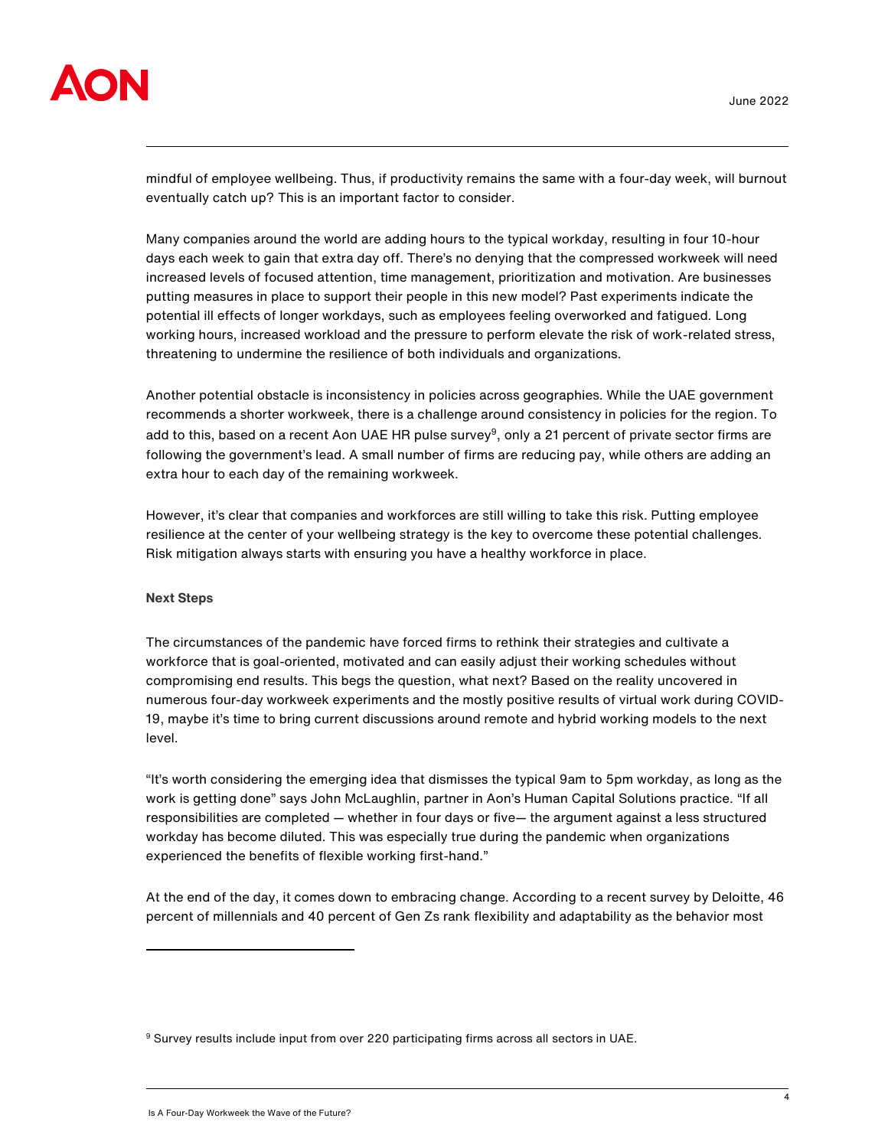

mindful of employee wellbeing. Thus, if productivity remains the same with a four-day week, will burnout eventually catch up? This is an important factor to consider.

Many companies around the world are adding hours to the typical workday, resulting in four 10-hour days each week to gain that extra day off. There's no denying that the compressed workweek will need increased levels of focused attention, time management, prioritization and motivation. Are businesses putting measures in place to support their people in this new model? Past experiments indicate the potential ill effects of longer workdays, such as employees feeling overworked and fatigued. Long working hours, increased workload and the pressure to perform elevate the risk of work-related stress, threatening to undermine the resilience of both individuals and organizations.

Another potential obstacle is inconsistency in policies across geographies. While the UAE government recommends a shorter workweek, there is a challenge around consistency in policies for the region. To add to this, based on a recent Aon UAE HR pulse survey<sup>9</sup>, only a 21 percent of private sector firms are following the government's lead. A small number of firms are reducing pay, while others are adding an extra hour to each day of the remaining workweek.

However, it's clear that companies and workforces are still willing to take this risk. Putting employee resilience at the center of your wellbeing strategy is the key to overcome these potential challenges. Risk mitigation always starts with ensuring you have a healthy workforce in place.

## **Next Steps**

The circumstances of the pandemic have forced firms to rethink their strategies and cultivate a workforce that is goal-oriented, motivated and can easily adjust their working schedules without compromising end results. This begs the question, what next? Based on the reality uncovered in numerous four-day workweek experiments and the mostly positive results of virtual work during COVID-19, maybe it's time to bring current discussions around remote and hybrid working models to the next level.

"It's worth considering the emerging idea that dismisses the typical 9am to 5pm workday, as long as the work is getting done" says John McLaughlin, partner in Aon's Human Capital Solutions practice. "If all responsibilities are completed — whether in four days or five— the argument against a less structured workday has become diluted. This was especially true during the pandemic when organizations experienced the benefits of flexible working first-hand."

At the end of the day, it comes down to embracing change. According to a recent survey by Deloitte, 46 percent of millennials and 40 percent of Gen Zs rank flexibility and adaptability as the behavior most

<sup>9</sup> Survey results include input from over 220 participating firms across all sectors in UAE.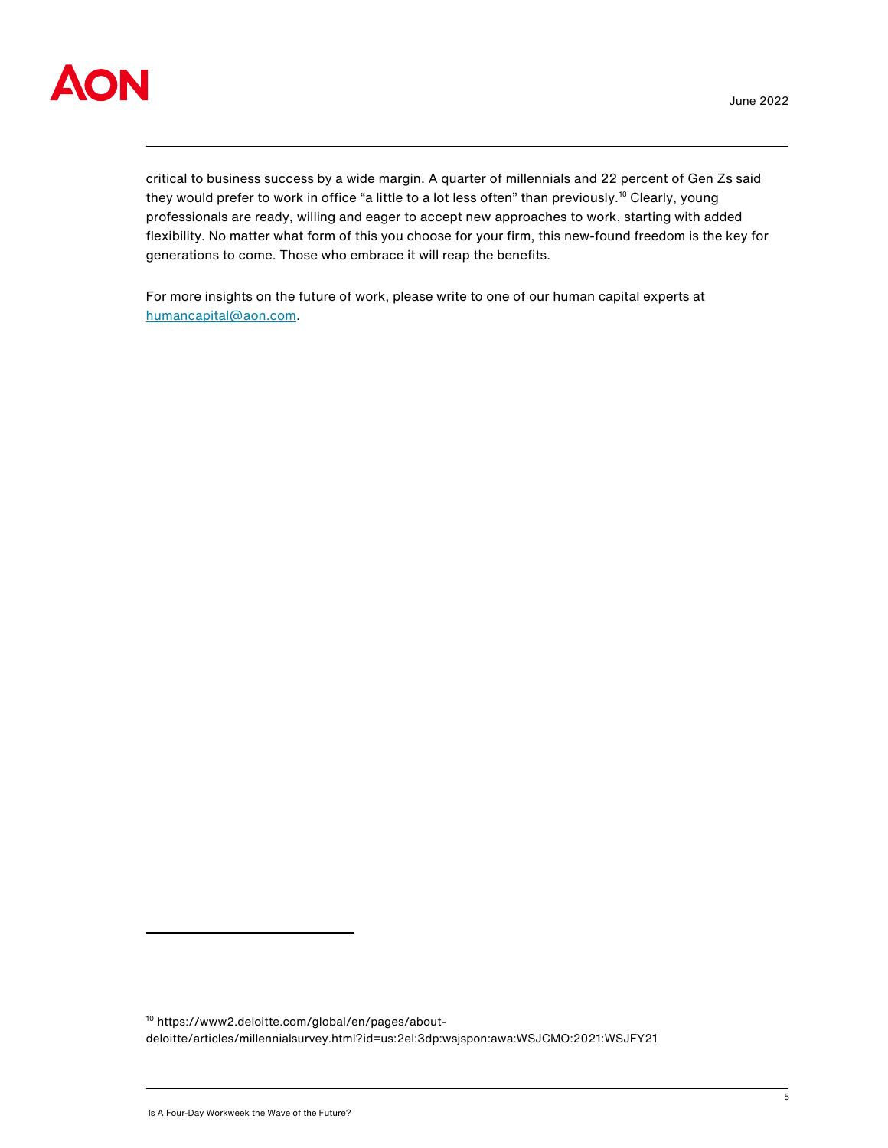

critical to business success by a wide margin. A quarter of millennials and 22 percent of Gen Zs said they would prefer to work in office "a little to a lot less often" than previously.<sup>10</sup> Clearly, young professionals are ready, willing and eager to accept new approaches to work, starting with added flexibility. No matter what form of this you choose for your firm, this new-found freedom is the key for generations to come. Those who embrace it will reap the benefits.

For more insights on the future of work, please write to one of our human capital experts at [humancapital@aon.com.](mailto:humancapital@aon.com)

<sup>10</sup> [https://www2.deloitte.com/global/en/pages/about](https://www2.deloitte.com/global/en/pages/about-deloitte/articles/millennialsurvey.html?id=us:2el:3dp:wsjspon:awa:WSJCMO:2021:WSJFY21)[deloitte/articles/millennialsurvey.html?id=us:2el:3dp:wsjspon:awa:WSJCMO:2021:WSJFY21](https://www2.deloitte.com/global/en/pages/about-deloitte/articles/millennialsurvey.html?id=us:2el:3dp:wsjspon:awa:WSJCMO:2021:WSJFY21)